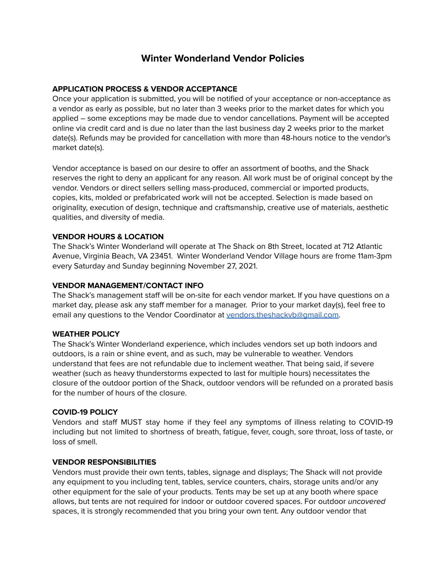# **Winter Wonderland Vendor Policies**

## **APPLICATION PROCESS & VENDOR ACCEPTANCE**

Once your application is submitted, you will be notified of your acceptance or non-acceptance as a vendor as early as possible, but no later than 3 weeks prior to the market dates for which you applied – some exceptions may be made due to vendor cancellations. Payment will be accepted online via credit card and is due no later than the last business day 2 weeks prior to the market date(s). Refunds may be provided for cancellation with more than 48-hours notice to the vendor's market date(s).

Vendor acceptance is based on our desire to offer an assortment of booths, and the Shack reserves the right to deny an applicant for any reason. All work must be of original concept by the vendor. Vendors or direct sellers selling mass-produced, commercial or imported products, copies, kits, molded or prefabricated work will not be accepted. Selection is made based on originality, execution of design, technique and craftsmanship, creative use of materials, aesthetic qualities, and diversity of media.

## **VENDOR HOURS & LOCATION**

The Shack's Winter Wonderland will operate at The Shack on 8th Street, located at 712 Atlantic Avenue, Virginia Beach, VA 23451. Winter Wonderland Vendor Village hours are frome 11am-3pm every Saturday and Sunday beginning November 27, 2021.

### **VENDOR MANAGEMENT/CONTACT INFO**

The Shack's management staff will be on-site for each vendor market. If you have questions on a market day, please ask any staff member for a manager. Prior to your market day(s), feel free to email any questions to the Vendor Coordinator at [vendors.theshackvb@gmail.com](mailto:vendors.theshackvb@gmail.com).

#### **WEATHER POLICY**

The Shack's Winter Wonderland experience, which includes vendors set up both indoors and outdoors, is a rain or shine event, and as such, may be vulnerable to weather. Vendors understand that fees are not refundable due to inclement weather. That being said, if severe weather (such as heavy thunderstorms expected to last for multiple hours) necessitates the closure of the outdoor portion of the Shack, outdoor vendors will be refunded on a prorated basis for the number of hours of the closure.

## **COVID-19 POLICY**

Vendors and staff MUST stay home if they feel any symptoms of illness relating to COVID-19 including but not limited to shortness of breath, fatigue, fever, cough, sore throat, loss of taste, or loss of smell.

#### **VENDOR RESPONSIBILITIES**

Vendors must provide their own tents, tables, signage and displays; The Shack will not provide any equipment to you including tent, tables, service counters, chairs, storage units and/or any other equipment for the sale of your products. Tents may be set up at any booth where space allows, but tents are not required for indoor or outdoor covered spaces. For outdoor *uncovered* spaces, it is strongly recommended that you bring your own tent. Any outdoor vendor that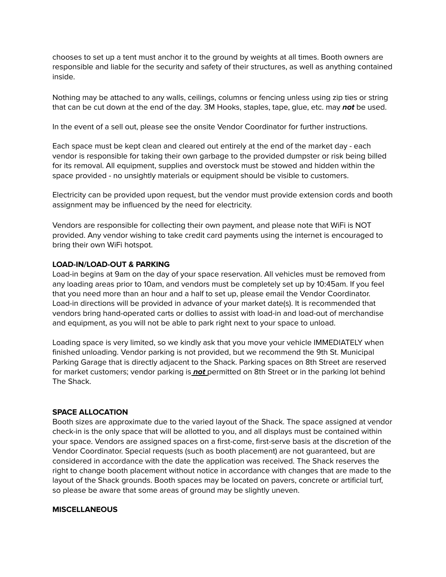chooses to set up a tent must anchor it to the ground by weights at all times. Booth owners are responsible and liable for the security and safety of their structures, as well as anything contained inside.

Nothing may be attached to any walls, ceilings, columns or fencing unless using zip ties or string that can be cut down at the end of the day. 3M Hooks, staples, tape, glue, etc. may **not** be used.

In the event of a sell out, please see the onsite Vendor Coordinator for further instructions.

Each space must be kept clean and cleared out entirely at the end of the market day - each vendor is responsible for taking their own garbage to the provided dumpster or risk being billed for its removal. All equipment, supplies and overstock must be stowed and hidden within the space provided - no unsightly materials or equipment should be visible to customers.

Electricity can be provided upon request, but the vendor must provide extension cords and booth assignment may be influenced by the need for electricity.

Vendors are responsible for collecting their own payment, and please note that WiFi is NOT provided. Any vendor wishing to take credit card payments using the internet is encouraged to bring their own WiFi hotspot.

#### **LOAD-IN/LOAD-OUT & PARKING**

Load-in begins at 9am on the day of your space reservation. All vehicles must be removed from any loading areas prior to 10am, and vendors must be completely set up by 10:45am. If you feel that you need more than an hour and a half to set up, please email the Vendor Coordinator. Load-in directions will be provided in advance of your market date(s). It is recommended that vendors bring hand-operated carts or dollies to assist with load-in and load-out of merchandise and equipment, as you will not be able to park right next to your space to unload.

Loading space is very limited, so we kindly ask that you move your vehicle IMMEDIATELY when finished unloading. Vendor parking is not provided, but we recommend the 9th St. Municipal Parking Garage that is directly adjacent to the Shack. Parking spaces on 8th Street are reserved for market customers; vendor parking is **not** permitted on 8th Street or in the parking lot behind The Shack.

#### **SPACE ALLOCATION**

Booth sizes are approximate due to the varied layout of the Shack. The space assigned at vendor check-in is the only space that will be allotted to you, and all displays must be contained within your space. Vendors are assigned spaces on a first-come, first-serve basis at the discretion of the Vendor Coordinator. Special requests (such as booth placement) are not guaranteed, but are considered in accordance with the date the application was received. The Shack reserves the right to change booth placement without notice in accordance with changes that are made to the layout of the Shack grounds. Booth spaces may be located on pavers, concrete or artificial turf, so please be aware that some areas of ground may be slightly uneven.

#### **MISCELLANEOUS**